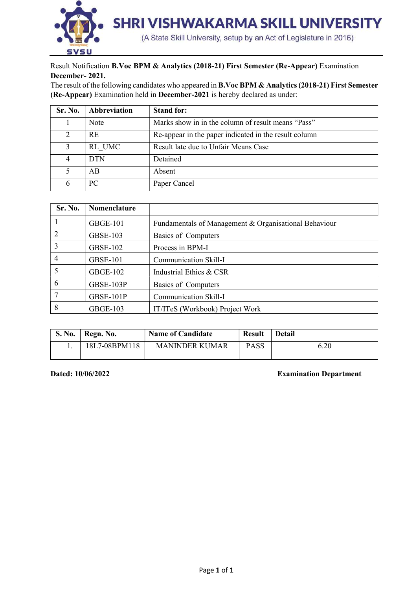

Result Notification B.Voc BPM & Analytics (2018-21) First Semester (Re-Appear) Examination December- 2021.

The result of the following candidates who appeared in B.Voc BPM & Analytics (2018-21) First Semester (Re-Appear) Examination held in December-2021 is hereby declared as under:

| Sr. No. | Abbreviation | <b>Stand for:</b>                                     |
|---------|--------------|-------------------------------------------------------|
|         | Note         | Marks show in in the column of result means "Pass"    |
| 2       | <b>RE</b>    | Re-appear in the paper indicated in the result column |
|         | RL UMC       | Result late due to Unfair Means Case                  |
|         | <b>DTN</b>   | Detained                                              |
|         | AВ           | Absent                                                |
| 6       | PC           | Paper Cancel                                          |

| Sr. No.        | Nomenclature    |                                                       |
|----------------|-----------------|-------------------------------------------------------|
|                | <b>GBGE-101</b> | Fundamentals of Management & Organisational Behaviour |
| $\overline{2}$ | <b>GBSE-103</b> | Basics of Computers                                   |
| 3              | <b>GBSE-102</b> | Process in BPM-I                                      |
| $\overline{4}$ | <b>GBSE-101</b> | Communication Skill-I                                 |
| 5              | <b>GBGE-102</b> | Industrial Ethics & CSR                               |
| 6              | GBSE-103P       | Basics of Computers                                   |
| 7              | GBSE-101P       | Communication Skill-I                                 |
| 8              | <b>GBGE-103</b> | IT/ITeS (Workbook) Project Work                       |

| <b>S. No.</b> | Regn. No.     | <b>Name of Candidate</b> | <b>Result</b> | <b>Detail</b> |  |  |  |  |  |  |
|---------------|---------------|--------------------------|---------------|---------------|--|--|--|--|--|--|
| . .           | 18L7-08BPM118 | <b>MANINDER KUMAR</b>    | <b>PASS</b>   | 6.20          |  |  |  |  |  |  |

Dated: 10/06/2022 Examination Department